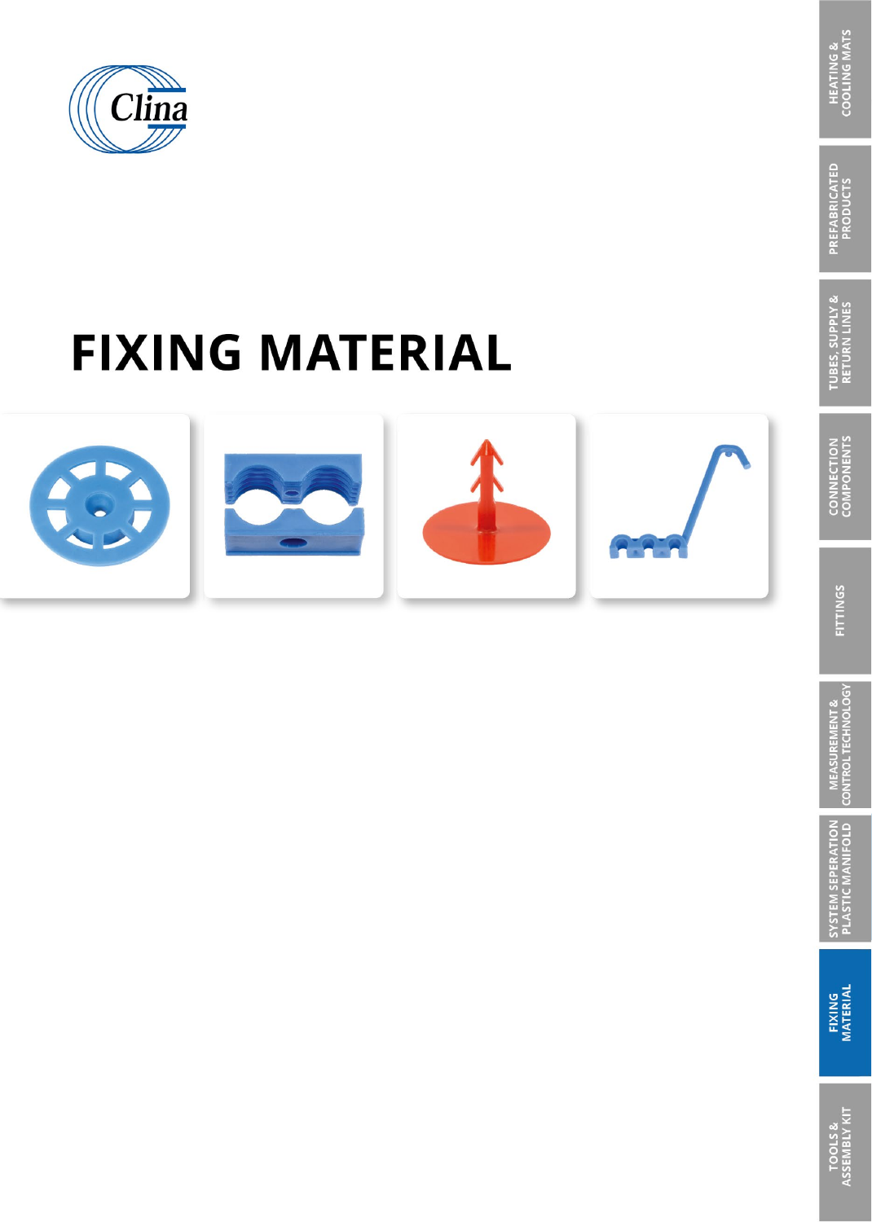

# **FIXING MATERIAL**



**PREFABRICATED**<br>PRODUCTS

**FIXING<br>MATERIAL** 

TOOLS &<br>ASSEMBLY KIT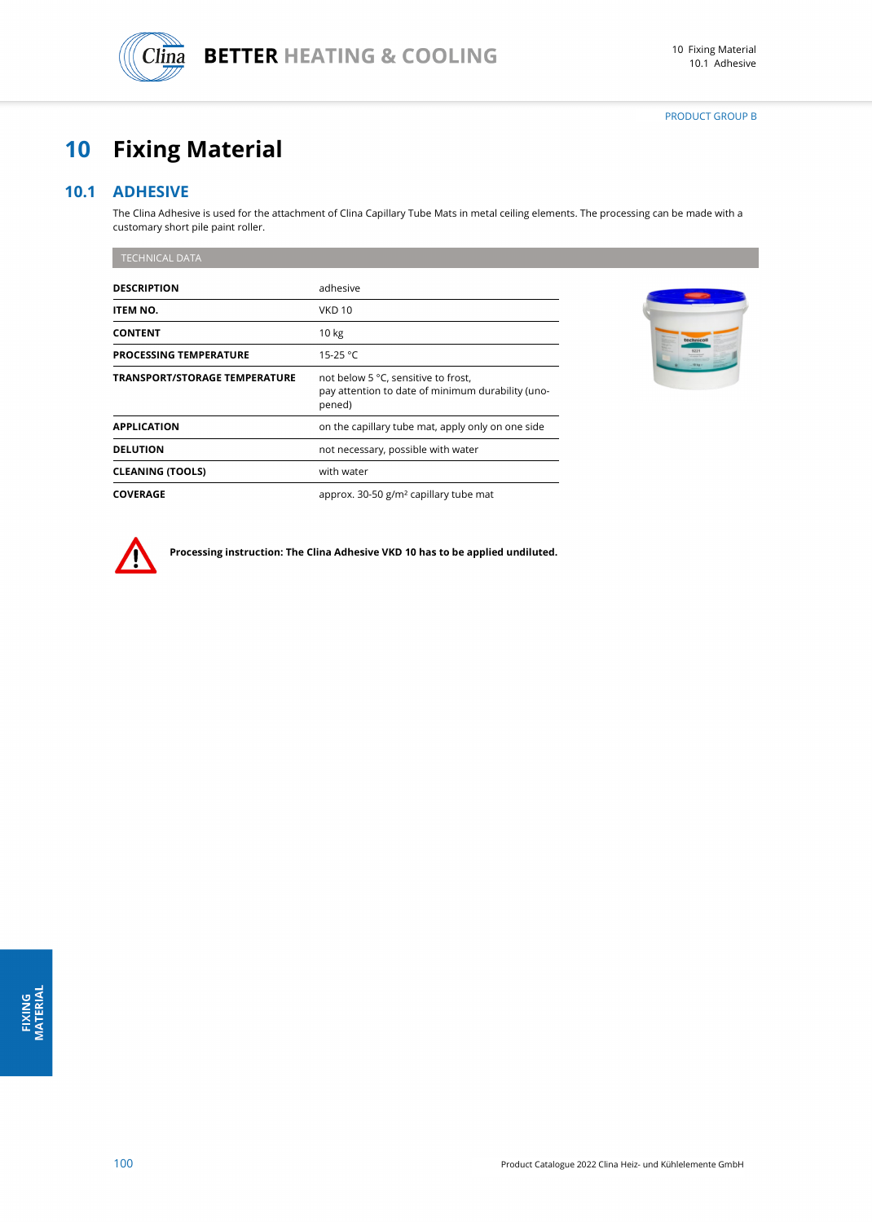

PRODUCT GROUP B

# **10 Fixing Material**

# **10.1 ADHESIVE**

The Clina Adhesive is used for the attachment of Clina Capillary Tube Mats in metal ceiling elements. The processing can be made with a customary short pile paint roller.

#### TECHNICAL DATA

| <b>DESCRIPTION</b>                   | adhesive                                                                                           |
|--------------------------------------|----------------------------------------------------------------------------------------------------|
| <b>ITEM NO.</b>                      | <b>VKD 10</b>                                                                                      |
| <b>CONTENT</b>                       | 10 <sub>kg</sub>                                                                                   |
| <b>PROCESSING TEMPERATURE</b>        | 15-25 °C                                                                                           |
| <b>TRANSPORT/STORAGE TEMPERATURE</b> | not below 5 °C, sensitive to frost,<br>pay attention to date of minimum durability (uno-<br>pened) |
| <b>APPLICATION</b>                   | on the capillary tube mat, apply only on one side                                                  |
| <b>DELUTION</b>                      | not necessary, possible with water                                                                 |
| <b>CLEANING (TOOLS)</b>              | with water                                                                                         |
| <b>COVERAGE</b>                      | approx. 30-50 g/m <sup>2</sup> capillary tube mat                                                  |



**Processing instruction: The Clina Adhesive VKD 10 has to be applied undiluted.**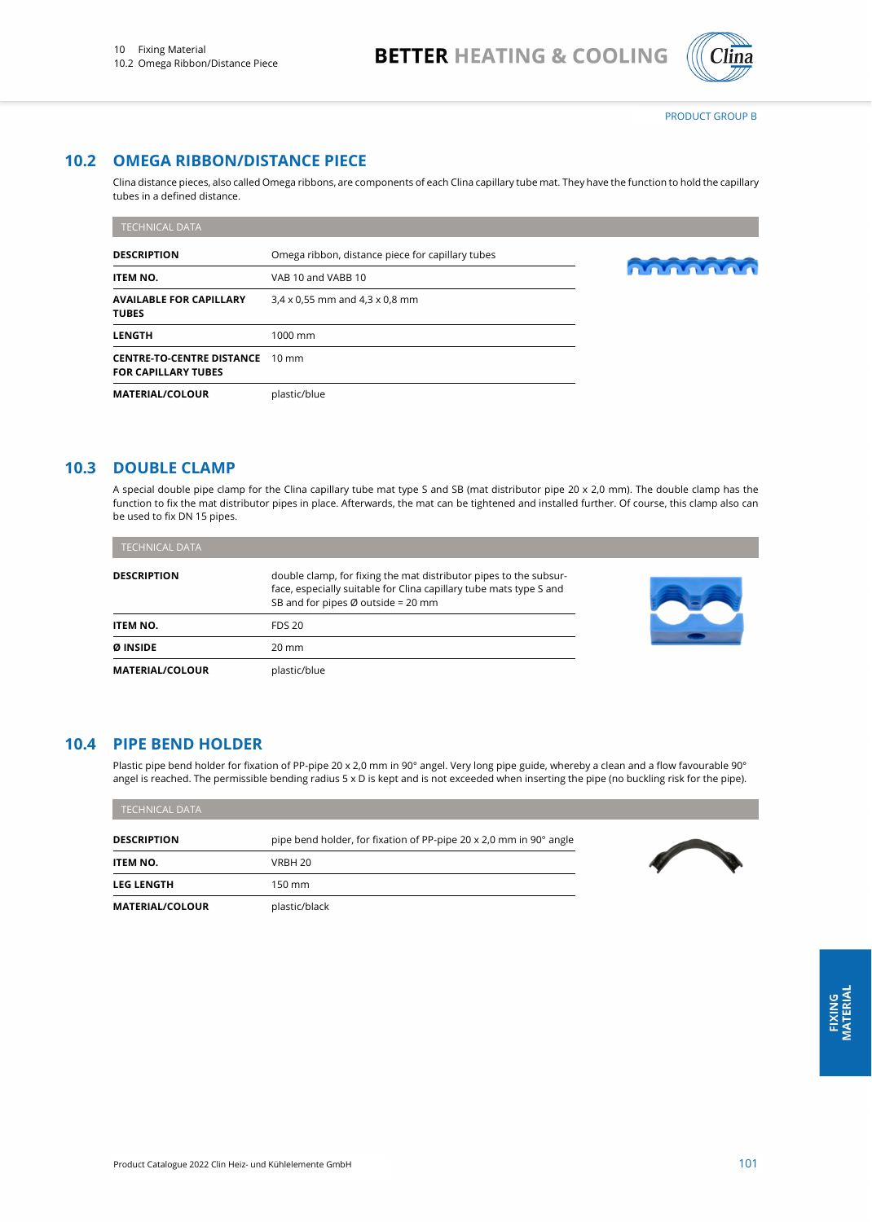

#### **10.2 OMEGA RIBBON/DISTANCE PIECE**

Clina distance pieces, also called Omega ribbons, are components of each Clina capillary tube mat. They have the function to hold the capillary tubes in a defined distance.

| <b>TECHNICAL DATA</b>                                          |                                                  |                |
|----------------------------------------------------------------|--------------------------------------------------|----------------|
| <b>DESCRIPTION</b>                                             | Omega ribbon, distance piece for capillary tubes |                |
| <b>ITEM NO.</b>                                                | VAB 10 and VABB 10                               | <b>DOMOTOR</b> |
| <b>AVAILABLE FOR CAPILLARY</b><br><b>TUBES</b>                 | $3.4 \times 0.55$ mm and $4.3 \times 0.8$ mm     |                |
| <b>LENGTH</b>                                                  | 1000 mm                                          |                |
| <b>CENTRE-TO-CENTRE DISTANCE</b><br><b>FOR CAPILLARY TUBES</b> | $10 \text{ mm}$                                  |                |
| <b>MATERIAL/COLOUR</b>                                         | plastic/blue                                     |                |

# **10.3 DOUBLE CLAMP**

A special double pipe clamp for the Clina capillary tube mat type S and SB (mat distributor pipe 20 x 2,0 mm). The double clamp has the function to fix the mat distributor pipes in place. Afterwards, the mat can be tightened and installed further. Of course, this clamp also can be used to fix DN 15 pipes.

| <b>TECHNICAL DATA</b>  |                                                                                                                                                                                           |  |
|------------------------|-------------------------------------------------------------------------------------------------------------------------------------------------------------------------------------------|--|
| <b>DESCRIPTION</b>     | double clamp, for fixing the mat distributor pipes to the subsur-<br>face, especially suitable for Clina capillary tube mats type S and<br>SB and for pipes $\varnothing$ outside = 20 mm |  |
| <b>ITEM NO.</b>        | <b>FDS 20</b>                                                                                                                                                                             |  |
| Ø INSIDE               | $20 \text{ mm}$                                                                                                                                                                           |  |
| <b>MATERIAL/COLOUR</b> | plastic/blue                                                                                                                                                                              |  |

#### **10.4 PIPE BEND HOLDER**

Plastic pipe bend holder for fixation of PP-pipe 20 x 2,0 mm in 90° angel. Very long pipe guide, whereby a clean and a flow favourable 90° angel is reached. The permissible bending radius 5 x D is kept and is not exceeded when inserting the pipe (no buckling risk for the pipe).

| <b>TECHNICAL DATA</b>  |                                                                    |  |
|------------------------|--------------------------------------------------------------------|--|
| <b>DESCRIPTION</b>     | pipe bend holder, for fixation of PP-pipe 20 x 2,0 mm in 90° angle |  |
| <b>ITEM NO.</b>        | VRBH 20                                                            |  |
| <b>LEG LENGTH</b>      | $150 \text{ mm}$                                                   |  |
| <b>MATERIAL/COLOUR</b> | plastic/black                                                      |  |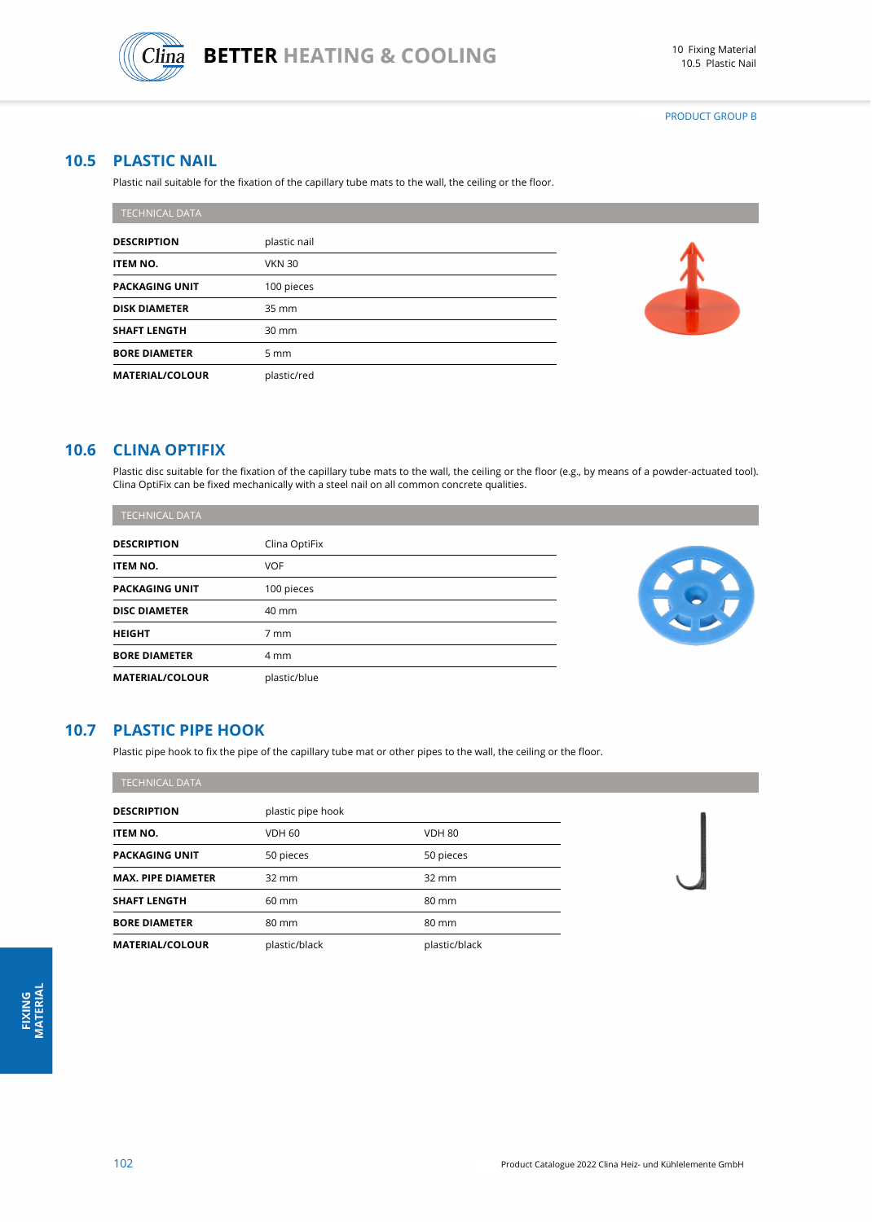

PRODUCT GROUP B

#### **10.5 PLASTIC NAIL**

Plastic nail suitable for the fixation of the capillary tube mats to the wall, the ceiling or the floor.

| <b>TECHNICAL DATA</b>  |                  |  |
|------------------------|------------------|--|
| <b>DESCRIPTION</b>     | plastic nail     |  |
| <b>ITEM NO.</b>        | <b>VKN 30</b>    |  |
| <b>PACKAGING UNIT</b>  | 100 pieces       |  |
| <b>DISK DIAMETER</b>   | 35 mm            |  |
| <b>SHAFT LENGTH</b>    | $30 \text{ mm}$  |  |
| <b>BORE DIAMETER</b>   | $5 \, \text{mm}$ |  |
| <b>MATERIAL/COLOUR</b> | plastic/red      |  |

# **10.6 CLINA OPTIFIX**

Plastic disc suitable for the fixation of the capillary tube mats to the wall, the ceiling or the floor (e.g., by means of a powder-actuated tool). Clina OptiFix can be fixed mechanically with a steel nail on all common concrete qualities.

| <b>TECHNICAL DATA</b>  |                |  |
|------------------------|----------------|--|
| <b>DESCRIPTION</b>     | Clina OptiFix  |  |
| <b>ITEM NO.</b>        | <b>VOF</b>     |  |
| <b>PACKAGING UNIT</b>  | 100 pieces     |  |
| <b>DISC DIAMETER</b>   | 40 mm          |  |
| <b>HEIGHT</b>          | $7 \text{ mm}$ |  |
| <b>BORE DIAMETER</b>   | 4 mm           |  |
| <b>MATERIAL/COLOUR</b> | plastic/blue   |  |

# **10.7 PLASTIC PIPE HOOK**

Plastic pipe hook to fix the pipe of the capillary tube mat or other pipes to the wall, the ceiling or the floor.

| <b>TECHNICAL DATA</b>     |                   |               |  |
|---------------------------|-------------------|---------------|--|
| <b>DESCRIPTION</b>        | plastic pipe hook |               |  |
| <b>ITEM NO.</b>           | <b>VDH 60</b>     | <b>VDH 80</b> |  |
| <b>PACKAGING UNIT</b>     | 50 pieces         | 50 pieces     |  |
| <b>MAX. PIPE DIAMETER</b> | $32 \text{ mm}$   | 32 mm         |  |
| <b>SHAFT LENGTH</b>       | 60 mm             | 80 mm         |  |
| <b>BORE DIAMETER</b>      | 80 mm             | 80 mm         |  |
| <b>MATERIAL/COLOUR</b>    | plastic/black     | plastic/black |  |